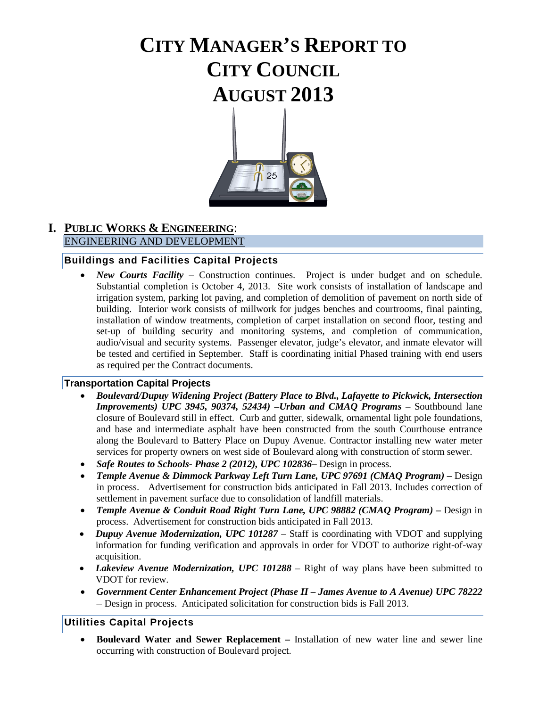# **CITY MANAGER'S REPORT TO CITY COUNCIL AUGUST 2013**



# **I. PUBLIC WORKS & ENGINEERING**: ENGINEERING AND DEVELOPMENT

# **Buildings and Facilities Capital Projects**

• *New Courts Facility* – Construction continues. Project is under budget and on schedule. Substantial completion is October 4, 2013. Site work consists of installation of landscape and irrigation system, parking lot paving, and completion of demolition of pavement on north side of building. Interior work consists of millwork for judges benches and courtrooms, final painting, installation of window treatments, completion of carpet installation on second floor, testing and set-up of building security and monitoring systems, and completion of communication, audio/visual and security systems. Passenger elevator, judge's elevator, and inmate elevator will be tested and certified in September. Staff is coordinating initial Phased training with end users as required per the Contract documents.

# **Transportation Capital Projects**

- *Boulevard/Dupuy Widening Project (Battery Place to Blvd., Lafayette to Pickwick, Intersection Improvements) UPC 3945, 90374, 52434) –Urban and CMAQ Programs* – Southbound lane closure of Boulevard still in effect. Curb and gutter, sidewalk, ornamental light pole foundations, and base and intermediate asphalt have been constructed from the south Courthouse entrance along the Boulevard to Battery Place on Dupuy Avenue. Contractor installing new water meter services for property owners on west side of Boulevard along with construction of storm sewer.
- *Safe Routes to Schools- Phase 2 (2012), UPC 102836***–** Design in process.
- *Temple Avenue & Dimmock Parkway Left Turn Lane, UPC 97691 (CMAQ Program) –* Design in process. Advertisement for construction bids anticipated in Fall 2013. Includes correction of settlement in pavement surface due to consolidation of landfill materials.
- *Temple Avenue & Conduit Road Right Turn Lane, UPC 98882 (CMAQ Program) –* Design in process. Advertisement for construction bids anticipated in Fall 2013.
- *Dupuy Avenue Modernization, UPC 101287*  Staff is coordinating with VDOT and supplying information for funding verification and approvals in order for VDOT to authorize right-of-way acquisition.
- *Lakeview Avenue Modernization, UPC 101288* Right of way plans have been submitted to VDOT for review.
- *Government Center Enhancement Project (Phase II – James Avenue to A Avenue) UPC 78222 –* Design in process. Anticipated solicitation for construction bids is Fall 2013.

# **Utilities Capital Projects**

• **Boulevard Water and Sewer Replacement –** Installation of new water line and sewer line occurring with construction of Boulevard project.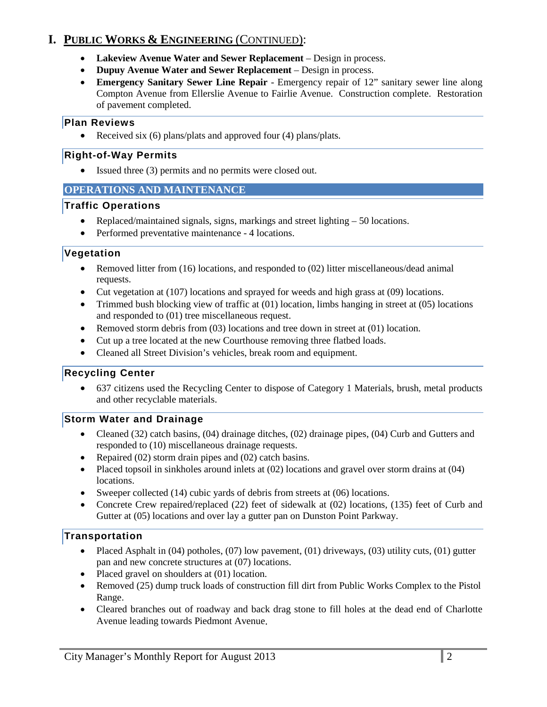# **I. PUBLIC WORKS & ENGINEERING** (CONTINUED):

- **Lakeview Avenue Water and Sewer Replacement**  Design in process.
- **Dupuy Avenue Water and Sewer Replacement**  Design in process.
- **Emergency Sanitary Sewer Line Repair**  Emergency repair of 12" sanitary sewer line along Compton Avenue from Ellerslie Avenue to Fairlie Avenue. Construction complete. Restoration of pavement completed.

#### **Plan Reviews**

• Received six (6) plans/plats and approved four (4) plans/plats.

#### **Right-of-Way Permits**

• Issued three (3) permits and no permits were closed out.

#### **OPERATIONS AND MAINTENANCE**

#### **Traffic Operations**

- Replaced/maintained signals, signs, markings and street lighting 50 locations.
- Performed preventative maintenance 4 locations.

# **Vegetation**

- Removed litter from (16) locations, and responded to (02) litter miscellaneous/dead animal requests.
- Cut vegetation at (107) locations and sprayed for weeds and high grass at (09) locations.
- Trimmed bush blocking view of traffic at (01) location, limbs hanging in street at (05) locations and responded to (01) tree miscellaneous request.
- Removed storm debris from (03) locations and tree down in street at (01) location.
- Cut up a tree located at the new Courthouse removing three flatbed loads.
- Cleaned all Street Division's vehicles, break room and equipment.

# **Recycling Center**

• 637 citizens used the Recycling Center to dispose of Category 1 Materials, brush, metal products and other recyclable materials.

# **Storm Water and Drainage**

- Cleaned (32) catch basins, (04) drainage ditches, (02) drainage pipes, (04) Curb and Gutters and responded to (10) miscellaneous drainage requests.
- Repaired (02) storm drain pipes and (02) catch basins.
- Placed topsoil in sinkholes around inlets at (02) locations and gravel over storm drains at (04) locations.
- Sweeper collected (14) cubic yards of debris from streets at (06) locations.
- Concrete Crew repaired/replaced (22) feet of sidewalk at (02) locations, (135) feet of Curb and Gutter at (05) locations and over lay a gutter pan on Dunston Point Parkway.

# **Transportation**

- Placed Asphalt in  $(04)$  potholes,  $(07)$  low pavement,  $(01)$  driveways,  $(03)$  utility cuts,  $(01)$  gutter pan and new concrete structures at (07) locations.
- Placed gravel on shoulders at (01) location.
- Removed (25) dump truck loads of construction fill dirt from Public Works Complex to the Pistol Range.
- Cleared branches out of roadway and back drag stone to fill holes at the dead end of Charlotte Avenue leading towards Piedmont Avenue.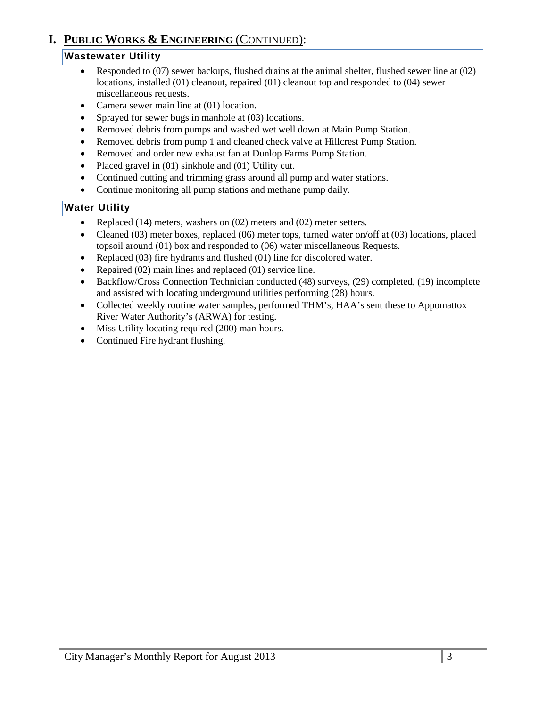# **I. PUBLIC WORKS & ENGINEERING** (CONTINUED):

# **Wastewater Utility**

- Responded to (07) sewer backups, flushed drains at the animal shelter, flushed sewer line at (02) locations, installed (01) cleanout, repaired (01) cleanout top and responded to (04) sewer miscellaneous requests.
- Camera sewer main line at (01) location.
- Sprayed for sewer bugs in manhole at (03) locations.
- Removed debris from pumps and washed wet well down at Main Pump Station.
- Removed debris from pump 1 and cleaned check valve at Hillcrest Pump Station.
- Removed and order new exhaust fan at Dunlop Farms Pump Station.
- Placed gravel in (01) sinkhole and (01) Utility cut.
- Continued cutting and trimming grass around all pump and water stations.
- Continue monitoring all pump stations and methane pump daily.

# **Water Utility**

- Replaced  $(14)$  meters, washers on  $(02)$  meters and  $(02)$  meter setters.
- Cleaned (03) meter boxes, replaced (06) meter tops, turned water on/off at (03) locations, placed topsoil around (01) box and responded to (06) water miscellaneous Requests.
- Replaced (03) fire hydrants and flushed (01) line for discolored water.
- Repaired (02) main lines and replaced (01) service line.
- Backflow/Cross Connection Technician conducted (48) surveys, (29) completed, (19) incomplete and assisted with locating underground utilities performing (28) hours.
- Collected weekly routine water samples, performed THM's, HAA's sent these to Appomattox River Water Authority's (ARWA) for testing.
- Miss Utility locating required (200) man-hours.
- Continued Fire hydrant flushing.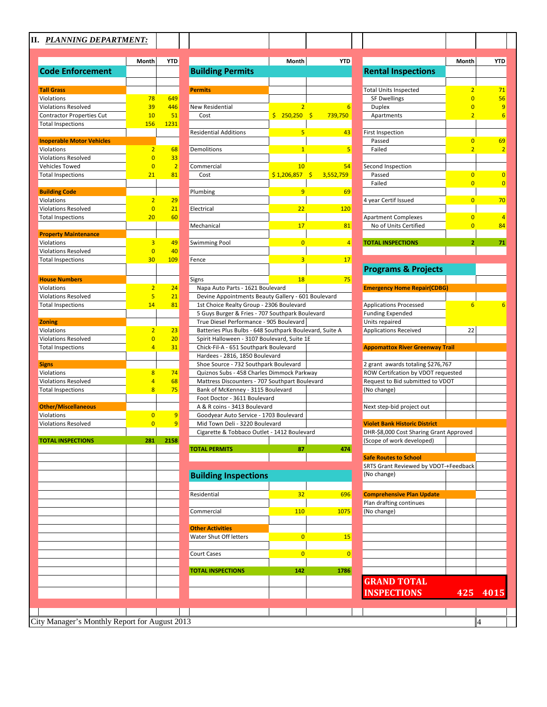# **II.** *PLANNING DEPARTMENT:*

| <b>Tall Grass</b><br><b>Permits</b><br>Violations<br>649<br>78<br><b>Violations Resolved</b><br>39<br>446<br><b>New Residential</b><br>\$250,250<br><b>Contractor Properties Cut</b><br>10<br>51<br>Cost<br><b>Total Inspections</b><br>156<br>1231<br><b>Residential Additions</b><br><b>Inoperable Motor Vehicles</b><br>Demolitions<br>Violations<br>$\overline{2}$<br>68<br><b>Violations Resolved</b><br>$\overline{0}$<br>33<br>$\overline{2}$<br><b>Vehicles Towed</b><br>$\overline{0}$<br>Commercial<br><b>Total Inspections</b><br>21<br>81<br>Cost<br><b>Building Code</b><br>Plumbing<br>Violations<br>$\overline{2}$<br>29<br>$\overline{0}$<br>21<br><b>Violations Resolved</b><br>Electrical<br><b>Total Inspections</b><br>20<br>60<br>Mechanical<br><b>Property Maintenance</b><br>3<br>Violations<br>49<br>Swimming Pool<br><b>Violations Resolved</b><br>$\overline{0}$<br>40<br>30<br>109<br><b>Total Inspections</b><br>Fence<br><b>House Numbers</b><br>Signs<br>Violations<br>$\overline{2}$<br>24<br>Napa Auto Parts - 1621 Boulevard<br><b>Violations Resolved</b><br>5<br>21<br>Devine Appointments Beauty Gallery - 601<br>14<br>81<br>1st Choice Realty Group - 2306 Boulevard<br><b>Total Inspections</b><br>5 Guys Burger & Fries - 707 Southpark Boul<br>True Diesel Performance - 905 Boulevard<br><b>Zoning</b><br>Violations<br>$\overline{2}$<br>23<br>Batteries Plus Bulbs - 648 Southpark Bouley<br>$\overline{0}$<br><b>Violations Resolved</b><br>20<br>Spirit Halloween - 3107 Boulevard, Suite 1E<br><b>Total Inspections</b><br>4<br>31<br>Chick-Fil-A - 651 Southpark Boulevard<br>Hardees - 2816, 1850 Boulevard<br>Shoe Source - 732 Southpark Boulevard<br><b>Signs</b><br>Quiznos Subs - 458 Charles Dimmock Parkw<br>Violations<br>8<br>74<br><b>Violations Resolved</b><br>4<br>Mattress Discounters - 707 Southpart Boule<br>68<br><b>Total Inspections</b><br>8<br>75<br>Bank of McKenney - 3115 Boulevard<br>Foot Doctor - 3611 Boulevard<br><b>Other/Miscellaneous</b><br>A & R coins - 3413 Boulevard<br>Violations<br>$\overline{0}$<br>Goodyear Auto Service - 1703 Boulevard<br>9<br>$\overline{0}$<br><b>Violations Resolved</b><br>9<br>Mid Town Deli - 3220 Boulevard<br>Cigarette & Tobbaco Outlet - 1412 Bouleva<br>281<br>2158<br><b>TOTAL INSPECTIONS</b><br><b>TOTAL PERMITS</b><br><b>Building Inspections</b><br>Residential<br>Commercial<br><b>Other Activities</b><br>Water Shut Off letters<br><b>Court Cases</b><br><b>TOTAL INSPECTIONS</b> | <b>Code Enforcement</b> |  | <b>Building Permits</b> |             |
|----------------------------------------------------------------------------------------------------------------------------------------------------------------------------------------------------------------------------------------------------------------------------------------------------------------------------------------------------------------------------------------------------------------------------------------------------------------------------------------------------------------------------------------------------------------------------------------------------------------------------------------------------------------------------------------------------------------------------------------------------------------------------------------------------------------------------------------------------------------------------------------------------------------------------------------------------------------------------------------------------------------------------------------------------------------------------------------------------------------------------------------------------------------------------------------------------------------------------------------------------------------------------------------------------------------------------------------------------------------------------------------------------------------------------------------------------------------------------------------------------------------------------------------------------------------------------------------------------------------------------------------------------------------------------------------------------------------------------------------------------------------------------------------------------------------------------------------------------------------------------------------------------------------------------------------------------------------------------------------------------------------------------------------------------------------------------------------------------------------------------------------------------------------------------------------------------------------------------------------------------------------------------------------------------------------------------------------------------------------------------------------------------------------------------------------------------------------------------------------------------------------------|-------------------------|--|-------------------------|-------------|
|                                                                                                                                                                                                                                                                                                                                                                                                                                                                                                                                                                                                                                                                                                                                                                                                                                                                                                                                                                                                                                                                                                                                                                                                                                                                                                                                                                                                                                                                                                                                                                                                                                                                                                                                                                                                                                                                                                                                                                                                                                                                                                                                                                                                                                                                                                                                                                                                                                                                                                                      |                         |  |                         |             |
|                                                                                                                                                                                                                                                                                                                                                                                                                                                                                                                                                                                                                                                                                                                                                                                                                                                                                                                                                                                                                                                                                                                                                                                                                                                                                                                                                                                                                                                                                                                                                                                                                                                                                                                                                                                                                                                                                                                                                                                                                                                                                                                                                                                                                                                                                                                                                                                                                                                                                                                      |                         |  |                         |             |
|                                                                                                                                                                                                                                                                                                                                                                                                                                                                                                                                                                                                                                                                                                                                                                                                                                                                                                                                                                                                                                                                                                                                                                                                                                                                                                                                                                                                                                                                                                                                                                                                                                                                                                                                                                                                                                                                                                                                                                                                                                                                                                                                                                                                                                                                                                                                                                                                                                                                                                                      |                         |  |                         |             |
|                                                                                                                                                                                                                                                                                                                                                                                                                                                                                                                                                                                                                                                                                                                                                                                                                                                                                                                                                                                                                                                                                                                                                                                                                                                                                                                                                                                                                                                                                                                                                                                                                                                                                                                                                                                                                                                                                                                                                                                                                                                                                                                                                                                                                                                                                                                                                                                                                                                                                                                      |                         |  |                         |             |
|                                                                                                                                                                                                                                                                                                                                                                                                                                                                                                                                                                                                                                                                                                                                                                                                                                                                                                                                                                                                                                                                                                                                                                                                                                                                                                                                                                                                                                                                                                                                                                                                                                                                                                                                                                                                                                                                                                                                                                                                                                                                                                                                                                                                                                                                                                                                                                                                                                                                                                                      |                         |  |                         |             |
|                                                                                                                                                                                                                                                                                                                                                                                                                                                                                                                                                                                                                                                                                                                                                                                                                                                                                                                                                                                                                                                                                                                                                                                                                                                                                                                                                                                                                                                                                                                                                                                                                                                                                                                                                                                                                                                                                                                                                                                                                                                                                                                                                                                                                                                                                                                                                                                                                                                                                                                      |                         |  |                         |             |
|                                                                                                                                                                                                                                                                                                                                                                                                                                                                                                                                                                                                                                                                                                                                                                                                                                                                                                                                                                                                                                                                                                                                                                                                                                                                                                                                                                                                                                                                                                                                                                                                                                                                                                                                                                                                                                                                                                                                                                                                                                                                                                                                                                                                                                                                                                                                                                                                                                                                                                                      |                         |  |                         |             |
|                                                                                                                                                                                                                                                                                                                                                                                                                                                                                                                                                                                                                                                                                                                                                                                                                                                                                                                                                                                                                                                                                                                                                                                                                                                                                                                                                                                                                                                                                                                                                                                                                                                                                                                                                                                                                                                                                                                                                                                                                                                                                                                                                                                                                                                                                                                                                                                                                                                                                                                      |                         |  |                         |             |
|                                                                                                                                                                                                                                                                                                                                                                                                                                                                                                                                                                                                                                                                                                                                                                                                                                                                                                                                                                                                                                                                                                                                                                                                                                                                                                                                                                                                                                                                                                                                                                                                                                                                                                                                                                                                                                                                                                                                                                                                                                                                                                                                                                                                                                                                                                                                                                                                                                                                                                                      |                         |  |                         |             |
|                                                                                                                                                                                                                                                                                                                                                                                                                                                                                                                                                                                                                                                                                                                                                                                                                                                                                                                                                                                                                                                                                                                                                                                                                                                                                                                                                                                                                                                                                                                                                                                                                                                                                                                                                                                                                                                                                                                                                                                                                                                                                                                                                                                                                                                                                                                                                                                                                                                                                                                      |                         |  |                         | \$1,206,857 |
|                                                                                                                                                                                                                                                                                                                                                                                                                                                                                                                                                                                                                                                                                                                                                                                                                                                                                                                                                                                                                                                                                                                                                                                                                                                                                                                                                                                                                                                                                                                                                                                                                                                                                                                                                                                                                                                                                                                                                                                                                                                                                                                                                                                                                                                                                                                                                                                                                                                                                                                      |                         |  |                         |             |
|                                                                                                                                                                                                                                                                                                                                                                                                                                                                                                                                                                                                                                                                                                                                                                                                                                                                                                                                                                                                                                                                                                                                                                                                                                                                                                                                                                                                                                                                                                                                                                                                                                                                                                                                                                                                                                                                                                                                                                                                                                                                                                                                                                                                                                                                                                                                                                                                                                                                                                                      |                         |  |                         |             |
|                                                                                                                                                                                                                                                                                                                                                                                                                                                                                                                                                                                                                                                                                                                                                                                                                                                                                                                                                                                                                                                                                                                                                                                                                                                                                                                                                                                                                                                                                                                                                                                                                                                                                                                                                                                                                                                                                                                                                                                                                                                                                                                                                                                                                                                                                                                                                                                                                                                                                                                      |                         |  |                         |             |
|                                                                                                                                                                                                                                                                                                                                                                                                                                                                                                                                                                                                                                                                                                                                                                                                                                                                                                                                                                                                                                                                                                                                                                                                                                                                                                                                                                                                                                                                                                                                                                                                                                                                                                                                                                                                                                                                                                                                                                                                                                                                                                                                                                                                                                                                                                                                                                                                                                                                                                                      |                         |  |                         |             |
|                                                                                                                                                                                                                                                                                                                                                                                                                                                                                                                                                                                                                                                                                                                                                                                                                                                                                                                                                                                                                                                                                                                                                                                                                                                                                                                                                                                                                                                                                                                                                                                                                                                                                                                                                                                                                                                                                                                                                                                                                                                                                                                                                                                                                                                                                                                                                                                                                                                                                                                      |                         |  |                         |             |
|                                                                                                                                                                                                                                                                                                                                                                                                                                                                                                                                                                                                                                                                                                                                                                                                                                                                                                                                                                                                                                                                                                                                                                                                                                                                                                                                                                                                                                                                                                                                                                                                                                                                                                                                                                                                                                                                                                                                                                                                                                                                                                                                                                                                                                                                                                                                                                                                                                                                                                                      |                         |  |                         |             |
|                                                                                                                                                                                                                                                                                                                                                                                                                                                                                                                                                                                                                                                                                                                                                                                                                                                                                                                                                                                                                                                                                                                                                                                                                                                                                                                                                                                                                                                                                                                                                                                                                                                                                                                                                                                                                                                                                                                                                                                                                                                                                                                                                                                                                                                                                                                                                                                                                                                                                                                      |                         |  |                         |             |
|                                                                                                                                                                                                                                                                                                                                                                                                                                                                                                                                                                                                                                                                                                                                                                                                                                                                                                                                                                                                                                                                                                                                                                                                                                                                                                                                                                                                                                                                                                                                                                                                                                                                                                                                                                                                                                                                                                                                                                                                                                                                                                                                                                                                                                                                                                                                                                                                                                                                                                                      |                         |  |                         |             |
|                                                                                                                                                                                                                                                                                                                                                                                                                                                                                                                                                                                                                                                                                                                                                                                                                                                                                                                                                                                                                                                                                                                                                                                                                                                                                                                                                                                                                                                                                                                                                                                                                                                                                                                                                                                                                                                                                                                                                                                                                                                                                                                                                                                                                                                                                                                                                                                                                                                                                                                      |                         |  |                         |             |
|                                                                                                                                                                                                                                                                                                                                                                                                                                                                                                                                                                                                                                                                                                                                                                                                                                                                                                                                                                                                                                                                                                                                                                                                                                                                                                                                                                                                                                                                                                                                                                                                                                                                                                                                                                                                                                                                                                                                                                                                                                                                                                                                                                                                                                                                                                                                                                                                                                                                                                                      |                         |  |                         |             |
|                                                                                                                                                                                                                                                                                                                                                                                                                                                                                                                                                                                                                                                                                                                                                                                                                                                                                                                                                                                                                                                                                                                                                                                                                                                                                                                                                                                                                                                                                                                                                                                                                                                                                                                                                                                                                                                                                                                                                                                                                                                                                                                                                                                                                                                                                                                                                                                                                                                                                                                      |                         |  |                         |             |
|                                                                                                                                                                                                                                                                                                                                                                                                                                                                                                                                                                                                                                                                                                                                                                                                                                                                                                                                                                                                                                                                                                                                                                                                                                                                                                                                                                                                                                                                                                                                                                                                                                                                                                                                                                                                                                                                                                                                                                                                                                                                                                                                                                                                                                                                                                                                                                                                                                                                                                                      |                         |  |                         |             |
|                                                                                                                                                                                                                                                                                                                                                                                                                                                                                                                                                                                                                                                                                                                                                                                                                                                                                                                                                                                                                                                                                                                                                                                                                                                                                                                                                                                                                                                                                                                                                                                                                                                                                                                                                                                                                                                                                                                                                                                                                                                                                                                                                                                                                                                                                                                                                                                                                                                                                                                      |                         |  |                         |             |
|                                                                                                                                                                                                                                                                                                                                                                                                                                                                                                                                                                                                                                                                                                                                                                                                                                                                                                                                                                                                                                                                                                                                                                                                                                                                                                                                                                                                                                                                                                                                                                                                                                                                                                                                                                                                                                                                                                                                                                                                                                                                                                                                                                                                                                                                                                                                                                                                                                                                                                                      |                         |  |                         |             |
|                                                                                                                                                                                                                                                                                                                                                                                                                                                                                                                                                                                                                                                                                                                                                                                                                                                                                                                                                                                                                                                                                                                                                                                                                                                                                                                                                                                                                                                                                                                                                                                                                                                                                                                                                                                                                                                                                                                                                                                                                                                                                                                                                                                                                                                                                                                                                                                                                                                                                                                      |                         |  |                         |             |
|                                                                                                                                                                                                                                                                                                                                                                                                                                                                                                                                                                                                                                                                                                                                                                                                                                                                                                                                                                                                                                                                                                                                                                                                                                                                                                                                                                                                                                                                                                                                                                                                                                                                                                                                                                                                                                                                                                                                                                                                                                                                                                                                                                                                                                                                                                                                                                                                                                                                                                                      |                         |  |                         |             |
|                                                                                                                                                                                                                                                                                                                                                                                                                                                                                                                                                                                                                                                                                                                                                                                                                                                                                                                                                                                                                                                                                                                                                                                                                                                                                                                                                                                                                                                                                                                                                                                                                                                                                                                                                                                                                                                                                                                                                                                                                                                                                                                                                                                                                                                                                                                                                                                                                                                                                                                      |                         |  |                         |             |
|                                                                                                                                                                                                                                                                                                                                                                                                                                                                                                                                                                                                                                                                                                                                                                                                                                                                                                                                                                                                                                                                                                                                                                                                                                                                                                                                                                                                                                                                                                                                                                                                                                                                                                                                                                                                                                                                                                                                                                                                                                                                                                                                                                                                                                                                                                                                                                                                                                                                                                                      |                         |  |                         |             |
|                                                                                                                                                                                                                                                                                                                                                                                                                                                                                                                                                                                                                                                                                                                                                                                                                                                                                                                                                                                                                                                                                                                                                                                                                                                                                                                                                                                                                                                                                                                                                                                                                                                                                                                                                                                                                                                                                                                                                                                                                                                                                                                                                                                                                                                                                                                                                                                                                                                                                                                      |                         |  |                         |             |
|                                                                                                                                                                                                                                                                                                                                                                                                                                                                                                                                                                                                                                                                                                                                                                                                                                                                                                                                                                                                                                                                                                                                                                                                                                                                                                                                                                                                                                                                                                                                                                                                                                                                                                                                                                                                                                                                                                                                                                                                                                                                                                                                                                                                                                                                                                                                                                                                                                                                                                                      |                         |  |                         |             |
|                                                                                                                                                                                                                                                                                                                                                                                                                                                                                                                                                                                                                                                                                                                                                                                                                                                                                                                                                                                                                                                                                                                                                                                                                                                                                                                                                                                                                                                                                                                                                                                                                                                                                                                                                                                                                                                                                                                                                                                                                                                                                                                                                                                                                                                                                                                                                                                                                                                                                                                      |                         |  |                         |             |
|                                                                                                                                                                                                                                                                                                                                                                                                                                                                                                                                                                                                                                                                                                                                                                                                                                                                                                                                                                                                                                                                                                                                                                                                                                                                                                                                                                                                                                                                                                                                                                                                                                                                                                                                                                                                                                                                                                                                                                                                                                                                                                                                                                                                                                                                                                                                                                                                                                                                                                                      |                         |  |                         |             |
|                                                                                                                                                                                                                                                                                                                                                                                                                                                                                                                                                                                                                                                                                                                                                                                                                                                                                                                                                                                                                                                                                                                                                                                                                                                                                                                                                                                                                                                                                                                                                                                                                                                                                                                                                                                                                                                                                                                                                                                                                                                                                                                                                                                                                                                                                                                                                                                                                                                                                                                      |                         |  |                         |             |
|                                                                                                                                                                                                                                                                                                                                                                                                                                                                                                                                                                                                                                                                                                                                                                                                                                                                                                                                                                                                                                                                                                                                                                                                                                                                                                                                                                                                                                                                                                                                                                                                                                                                                                                                                                                                                                                                                                                                                                                                                                                                                                                                                                                                                                                                                                                                                                                                                                                                                                                      |                         |  |                         |             |
|                                                                                                                                                                                                                                                                                                                                                                                                                                                                                                                                                                                                                                                                                                                                                                                                                                                                                                                                                                                                                                                                                                                                                                                                                                                                                                                                                                                                                                                                                                                                                                                                                                                                                                                                                                                                                                                                                                                                                                                                                                                                                                                                                                                                                                                                                                                                                                                                                                                                                                                      |                         |  |                         |             |
|                                                                                                                                                                                                                                                                                                                                                                                                                                                                                                                                                                                                                                                                                                                                                                                                                                                                                                                                                                                                                                                                                                                                                                                                                                                                                                                                                                                                                                                                                                                                                                                                                                                                                                                                                                                                                                                                                                                                                                                                                                                                                                                                                                                                                                                                                                                                                                                                                                                                                                                      |                         |  |                         |             |
|                                                                                                                                                                                                                                                                                                                                                                                                                                                                                                                                                                                                                                                                                                                                                                                                                                                                                                                                                                                                                                                                                                                                                                                                                                                                                                                                                                                                                                                                                                                                                                                                                                                                                                                                                                                                                                                                                                                                                                                                                                                                                                                                                                                                                                                                                                                                                                                                                                                                                                                      |                         |  |                         |             |
|                                                                                                                                                                                                                                                                                                                                                                                                                                                                                                                                                                                                                                                                                                                                                                                                                                                                                                                                                                                                                                                                                                                                                                                                                                                                                                                                                                                                                                                                                                                                                                                                                                                                                                                                                                                                                                                                                                                                                                                                                                                                                                                                                                                                                                                                                                                                                                                                                                                                                                                      |                         |  |                         |             |
|                                                                                                                                                                                                                                                                                                                                                                                                                                                                                                                                                                                                                                                                                                                                                                                                                                                                                                                                                                                                                                                                                                                                                                                                                                                                                                                                                                                                                                                                                                                                                                                                                                                                                                                                                                                                                                                                                                                                                                                                                                                                                                                                                                                                                                                                                                                                                                                                                                                                                                                      |                         |  |                         |             |
|                                                                                                                                                                                                                                                                                                                                                                                                                                                                                                                                                                                                                                                                                                                                                                                                                                                                                                                                                                                                                                                                                                                                                                                                                                                                                                                                                                                                                                                                                                                                                                                                                                                                                                                                                                                                                                                                                                                                                                                                                                                                                                                                                                                                                                                                                                                                                                                                                                                                                                                      |                         |  |                         |             |
|                                                                                                                                                                                                                                                                                                                                                                                                                                                                                                                                                                                                                                                                                                                                                                                                                                                                                                                                                                                                                                                                                                                                                                                                                                                                                                                                                                                                                                                                                                                                                                                                                                                                                                                                                                                                                                                                                                                                                                                                                                                                                                                                                                                                                                                                                                                                                                                                                                                                                                                      |                         |  |                         |             |
|                                                                                                                                                                                                                                                                                                                                                                                                                                                                                                                                                                                                                                                                                                                                                                                                                                                                                                                                                                                                                                                                                                                                                                                                                                                                                                                                                                                                                                                                                                                                                                                                                                                                                                                                                                                                                                                                                                                                                                                                                                                                                                                                                                                                                                                                                                                                                                                                                                                                                                                      |                         |  |                         | 110         |
|                                                                                                                                                                                                                                                                                                                                                                                                                                                                                                                                                                                                                                                                                                                                                                                                                                                                                                                                                                                                                                                                                                                                                                                                                                                                                                                                                                                                                                                                                                                                                                                                                                                                                                                                                                                                                                                                                                                                                                                                                                                                                                                                                                                                                                                                                                                                                                                                                                                                                                                      |                         |  |                         |             |
|                                                                                                                                                                                                                                                                                                                                                                                                                                                                                                                                                                                                                                                                                                                                                                                                                                                                                                                                                                                                                                                                                                                                                                                                                                                                                                                                                                                                                                                                                                                                                                                                                                                                                                                                                                                                                                                                                                                                                                                                                                                                                                                                                                                                                                                                                                                                                                                                                                                                                                                      |                         |  |                         |             |
|                                                                                                                                                                                                                                                                                                                                                                                                                                                                                                                                                                                                                                                                                                                                                                                                                                                                                                                                                                                                                                                                                                                                                                                                                                                                                                                                                                                                                                                                                                                                                                                                                                                                                                                                                                                                                                                                                                                                                                                                                                                                                                                                                                                                                                                                                                                                                                                                                                                                                                                      |                         |  |                         |             |
|                                                                                                                                                                                                                                                                                                                                                                                                                                                                                                                                                                                                                                                                                                                                                                                                                                                                                                                                                                                                                                                                                                                                                                                                                                                                                                                                                                                                                                                                                                                                                                                                                                                                                                                                                                                                                                                                                                                                                                                                                                                                                                                                                                                                                                                                                                                                                                                                                                                                                                                      |                         |  |                         |             |
|                                                                                                                                                                                                                                                                                                                                                                                                                                                                                                                                                                                                                                                                                                                                                                                                                                                                                                                                                                                                                                                                                                                                                                                                                                                                                                                                                                                                                                                                                                                                                                                                                                                                                                                                                                                                                                                                                                                                                                                                                                                                                                                                                                                                                                                                                                                                                                                                                                                                                                                      |                         |  |                         | 142         |
|                                                                                                                                                                                                                                                                                                                                                                                                                                                                                                                                                                                                                                                                                                                                                                                                                                                                                                                                                                                                                                                                                                                                                                                                                                                                                                                                                                                                                                                                                                                                                                                                                                                                                                                                                                                                                                                                                                                                                                                                                                                                                                                                                                                                                                                                                                                                                                                                                                                                                                                      |                         |  |                         |             |
|                                                                                                                                                                                                                                                                                                                                                                                                                                                                                                                                                                                                                                                                                                                                                                                                                                                                                                                                                                                                                                                                                                                                                                                                                                                                                                                                                                                                                                                                                                                                                                                                                                                                                                                                                                                                                                                                                                                                                                                                                                                                                                                                                                                                                                                                                                                                                                                                                                                                                                                      |                         |  |                         |             |
|                                                                                                                                                                                                                                                                                                                                                                                                                                                                                                                                                                                                                                                                                                                                                                                                                                                                                                                                                                                                                                                                                                                                                                                                                                                                                                                                                                                                                                                                                                                                                                                                                                                                                                                                                                                                                                                                                                                                                                                                                                                                                                                                                                                                                                                                                                                                                                                                                                                                                                                      |                         |  |                         |             |

|                                                 | Month          | <b>YTD</b>     |                                                                                                    | Month                           | <b>YTD</b>     |                                                | Month               | <b>YTD</b>              |
|-------------------------------------------------|----------------|----------------|----------------------------------------------------------------------------------------------------|---------------------------------|----------------|------------------------------------------------|---------------------|-------------------------|
| <b>Code Enforcement</b>                         |                |                | <b>Building Permits</b>                                                                            |                                 |                | <b>Rental Inspections</b>                      |                     |                         |
|                                                 |                |                |                                                                                                    |                                 |                |                                                |                     |                         |
| <b>Tall Grass</b>                               |                |                | <b>Permits</b>                                                                                     |                                 |                | <b>Total Units Inspected</b>                   | $\overline{2}$      | 71                      |
| <b>Violations</b><br><b>Violations Resolved</b> | 78<br>39       | 649<br>446     |                                                                                                    |                                 | 6              | <b>SF Dwellings</b>                            | $\overline{0}$<br>O | 56                      |
| Contractor Properties Cut                       | 10             | 51             | New Residential<br>Cost                                                                            | $\overline{2}$<br>$$250,250$ \$ | 739,750        | <b>Duplex</b><br>Apartments                    |                     | $\epsilon$              |
| <b>Total Inspections</b>                        | 156            | 1231           |                                                                                                    |                                 |                |                                                |                     |                         |
|                                                 |                |                | <b>Residential Additions</b>                                                                       | 5                               | 43             | First Inspection                               |                     |                         |
| <b>Inoperable Motor Vehicles</b>                |                |                |                                                                                                    |                                 |                | Passed                                         | $\overline{0}$      | 69                      |
| <b>Violations</b>                               | $\overline{2}$ | 68             | <b>Demolitions</b>                                                                                 | $\overline{1}$                  | 5              | Failed                                         | $\overline{2}$      | ź                       |
| <b>Violations Resolved</b>                      | $\overline{0}$ | 33             |                                                                                                    |                                 |                |                                                |                     |                         |
| Vehicles Towed                                  | $\overline{0}$ | $\overline{2}$ | Commercial                                                                                         | 10                              | 54             | Second Inspection                              |                     |                         |
| <b>Total Inspections</b>                        | 21             | 81             | Cost                                                                                               | $$1,206,857$ \$                 | 3,552,759      | Passed                                         | $\overline{0}$      | $\overline{a}$          |
|                                                 |                |                |                                                                                                    |                                 |                | Failed                                         | $\overline{0}$      | $\overline{a}$          |
| <b>Building Code</b><br>Violations              | $\overline{2}$ | 29             | Plumbing                                                                                           | 9                               | 69             | 4 year Certif Issued                           | $\overline{0}$      | 7 <sup>o</sup>          |
| <b>Violations Resolved</b>                      | $\overline{0}$ | 21             | Electrical                                                                                         | 22                              | <b>120</b>     |                                                |                     |                         |
| <b>Total Inspections</b>                        | 20             | 60             |                                                                                                    |                                 |                | <b>Apartment Complexes</b>                     | $\overline{0}$      | $\overline{\mathbf{r}}$ |
|                                                 |                |                | Mechanical                                                                                         | 17                              | 81             | No of Units Certified                          | $\overline{0}$      | 84                      |
| <b>Property Maintenance</b>                     |                |                |                                                                                                    |                                 |                |                                                |                     |                         |
| Violations                                      | 3              | 49             | <b>Swimming Pool</b>                                                                               | $\overline{0}$                  | $\overline{4}$ | <b>TOTAL INSPECTIONS</b>                       | $\overline{2}$      | 71                      |
| <b>Violations Resolved</b>                      | $\overline{0}$ | 40             |                                                                                                    |                                 |                |                                                |                     |                         |
| <b>Total Inspections</b>                        | 30             | <b>109</b>     | Fence                                                                                              | 3                               | 17             |                                                |                     |                         |
|                                                 |                |                |                                                                                                    |                                 |                | <b>Programs &amp; Projects</b>                 |                     |                         |
| <b>House Numbers</b>                            |                |                | Signs                                                                                              | 18                              | 75             |                                                |                     |                         |
| Violations                                      | $\overline{2}$ | 24             | Napa Auto Parts - 1621 Boulevard                                                                   |                                 |                | <b>Emergency Home Repair(CDBG)</b>             |                     |                         |
| <b>Violations Resolved</b>                      | 5              | 21             | Devine Appointments Beauty Gallery - 601 Boulevard                                                 |                                 |                |                                                |                     |                         |
| <b>Total Inspections</b>                        | 14             | 81             | 1st Choice Realty Group - 2306 Boulevard                                                           |                                 |                | <b>Applications Processed</b>                  | 6                   |                         |
|                                                 |                |                | 5 Guys Burger & Fries - 707 Southpark Boulevard                                                    |                                 |                | <b>Funding Expended</b>                        |                     |                         |
| <b>Zoning</b><br>Violations                     | $\overline{2}$ | 23             | True Diesel Performance - 905 Boulevard<br>Batteries Plus Bulbs - 648 Southpark Boulevard, Suite A |                                 |                | Units repaired<br><b>Applications Received</b> | 22                  |                         |
| <b>Violations Resolved</b>                      | $\overline{0}$ | 20             | Spirit Halloween - 3107 Boulevard, Suite 1E                                                        |                                 |                |                                                |                     |                         |
| <b>Total Inspections</b>                        | $\overline{4}$ | 31             | Chick-Fil-A - 651 Southpark Boulevard                                                              |                                 |                | <b>Appomattox River Greenway Trail</b>         |                     |                         |
|                                                 |                |                | Hardees - 2816, 1850 Boulevard                                                                     |                                 |                |                                                |                     |                         |
| Signs                                           |                |                | Shoe Source - 732 Southpark Boulevard                                                              |                                 |                | 2 grant awards totaling \$276,767              |                     |                         |
| Violations                                      | 8              | 74             | Quiznos Subs - 458 Charles Dimmock Parkway                                                         |                                 |                | ROW Certifcation by VDOT requested             |                     |                         |
| <b>Violations Resolved</b>                      | $\overline{4}$ | 68             | Mattress Discounters - 707 Southpart Boulevard                                                     |                                 |                | Request to Bid submitted to VDOT               |                     |                         |
| <b>Total Inspections</b>                        | $\overline{8}$ | 75             | Bank of McKenney - 3115 Boulevard                                                                  |                                 |                | (No change)                                    |                     |                         |
|                                                 |                |                | Foot Doctor - 3611 Boulevard                                                                       |                                 |                |                                                |                     |                         |
| <b>Other/Miscellaneous</b><br>Violations        | $\overline{0}$ | 9              | A & R coins - 3413 Boulevard<br>Goodyear Auto Service - 1703 Boulevard                             |                                 |                | Next step-bid project out                      |                     |                         |
| <b>Violations Resolved</b>                      | $\overline{0}$ | 9              | Mid Town Deli - 3220 Boulevard                                                                     |                                 |                | <b>Violet Bank Historic District</b>           |                     |                         |
|                                                 |                |                | Cigarette & Tobbaco Outlet - 1412 Boulevard                                                        |                                 |                | DHR-\$8,000 Cost Sharing Grant Approved        |                     |                         |
| <b>TOTAL INSPECTIONS</b>                        | 281            | 2158           |                                                                                                    |                                 |                | (Scope of work developed)                      |                     |                         |
|                                                 |                |                | <b>TOTAL PERMITS</b>                                                                               | 87                              | 474            |                                                |                     |                         |
|                                                 |                |                |                                                                                                    |                                 |                | <b>Safe Routes to School</b>                   |                     |                         |
|                                                 |                |                |                                                                                                    |                                 |                | SRTS Grant Reviewed by VDOT-+Feedback          |                     |                         |
|                                                 |                |                | <b>Building Inspections</b>                                                                        |                                 |                | (No change)                                    |                     |                         |
|                                                 |                |                |                                                                                                    |                                 |                |                                                |                     |                         |
|                                                 |                |                | Residential                                                                                        | 32                              | 696            | <b>Comprehensive Plan Update</b>               |                     |                         |
|                                                 |                |                |                                                                                                    |                                 |                | Plan drafting continues                        |                     |                         |
|                                                 |                |                | Commercial                                                                                         | 110                             | 1075           | (No change)                                    |                     |                         |
|                                                 |                |                |                                                                                                    |                                 |                |                                                |                     |                         |
|                                                 |                |                | <b>Other Activities</b><br>Water Shut Off letters                                                  | $\overline{0}$                  | <b>15</b>      |                                                |                     |                         |
|                                                 |                |                |                                                                                                    |                                 |                |                                                |                     |                         |
|                                                 |                |                | Court Cases                                                                                        | $\overline{0}$                  | $\overline{0}$ |                                                |                     |                         |
|                                                 |                |                | <b>TOTAL INSPECTIONS</b>                                                                           | 142                             | 1786           |                                                |                     |                         |
|                                                 |                |                |                                                                                                    |                                 |                | <b>GRAND TOTAL</b>                             |                     |                         |
|                                                 |                |                |                                                                                                    |                                 |                | <b>INSPECTIONS</b>                             | 425                 | 4015                    |
|                                                 |                |                |                                                                                                    |                                 |                |                                                |                     |                         |
|                                                 |                |                |                                                                                                    |                                 |                |                                                |                     |                         |
| ty Manager's Monthly Report for August 2013     |                |                |                                                                                                    |                                 |                |                                                |                     |                         |

 $\overline{\phantom{a}}$ 

 $\overline{\phantom{a}}$ 

| Month<br><b>YTD</b><br><b>Rental Inspections</b><br><b>Total Units Inspected</b><br>71<br>2<br>$\overline{0}$<br><b>SF Dwellings</b><br>56<br>$\overline{0}$<br>9<br>Duplex<br>$\overline{2}$<br>Apartments<br>6<br>First Inspection<br>Passed<br>$\overline{0}$<br>69<br>$\overline{2}$<br>Failed<br>2<br>Second Inspection<br>Passed<br>$\overline{0}$<br>0<br>Failed<br>$\overline{0}$<br>0<br>4 year Certif Issued<br>$\overline{0}$<br>70<br><b>Apartment Complexes</b><br>$\overline{0}$<br>4<br>No of Units Certified<br>$\overline{0}$<br>84<br><b>TOTAL INSPECTIONS</b><br>71<br>2<br><b>Programs &amp; Projects</b><br><b>Emergency Home Repair(CDBG)</b> |
|---------------------------------------------------------------------------------------------------------------------------------------------------------------------------------------------------------------------------------------------------------------------------------------------------------------------------------------------------------------------------------------------------------------------------------------------------------------------------------------------------------------------------------------------------------------------------------------------------------------------------------------------------------------------|
|                                                                                                                                                                                                                                                                                                                                                                                                                                                                                                                                                                                                                                                                     |
|                                                                                                                                                                                                                                                                                                                                                                                                                                                                                                                                                                                                                                                                     |
|                                                                                                                                                                                                                                                                                                                                                                                                                                                                                                                                                                                                                                                                     |
|                                                                                                                                                                                                                                                                                                                                                                                                                                                                                                                                                                                                                                                                     |
|                                                                                                                                                                                                                                                                                                                                                                                                                                                                                                                                                                                                                                                                     |
|                                                                                                                                                                                                                                                                                                                                                                                                                                                                                                                                                                                                                                                                     |
|                                                                                                                                                                                                                                                                                                                                                                                                                                                                                                                                                                                                                                                                     |
|                                                                                                                                                                                                                                                                                                                                                                                                                                                                                                                                                                                                                                                                     |
|                                                                                                                                                                                                                                                                                                                                                                                                                                                                                                                                                                                                                                                                     |
|                                                                                                                                                                                                                                                                                                                                                                                                                                                                                                                                                                                                                                                                     |
|                                                                                                                                                                                                                                                                                                                                                                                                                                                                                                                                                                                                                                                                     |
|                                                                                                                                                                                                                                                                                                                                                                                                                                                                                                                                                                                                                                                                     |
|                                                                                                                                                                                                                                                                                                                                                                                                                                                                                                                                                                                                                                                                     |
|                                                                                                                                                                                                                                                                                                                                                                                                                                                                                                                                                                                                                                                                     |
|                                                                                                                                                                                                                                                                                                                                                                                                                                                                                                                                                                                                                                                                     |
|                                                                                                                                                                                                                                                                                                                                                                                                                                                                                                                                                                                                                                                                     |
|                                                                                                                                                                                                                                                                                                                                                                                                                                                                                                                                                                                                                                                                     |
|                                                                                                                                                                                                                                                                                                                                                                                                                                                                                                                                                                                                                                                                     |
|                                                                                                                                                                                                                                                                                                                                                                                                                                                                                                                                                                                                                                                                     |
|                                                                                                                                                                                                                                                                                                                                                                                                                                                                                                                                                                                                                                                                     |
|                                                                                                                                                                                                                                                                                                                                                                                                                                                                                                                                                                                                                                                                     |
|                                                                                                                                                                                                                                                                                                                                                                                                                                                                                                                                                                                                                                                                     |
|                                                                                                                                                                                                                                                                                                                                                                                                                                                                                                                                                                                                                                                                     |
|                                                                                                                                                                                                                                                                                                                                                                                                                                                                                                                                                                                                                                                                     |
|                                                                                                                                                                                                                                                                                                                                                                                                                                                                                                                                                                                                                                                                     |
| <b>Applications Processed</b><br>6<br>6                                                                                                                                                                                                                                                                                                                                                                                                                                                                                                                                                                                                                             |
| Funding Expended                                                                                                                                                                                                                                                                                                                                                                                                                                                                                                                                                                                                                                                    |
| Units repaired                                                                                                                                                                                                                                                                                                                                                                                                                                                                                                                                                                                                                                                      |
| <b>Applications Received</b><br>22                                                                                                                                                                                                                                                                                                                                                                                                                                                                                                                                                                                                                                  |
| <b>Appomattox River Greenway Trail</b>                                                                                                                                                                                                                                                                                                                                                                                                                                                                                                                                                                                                                              |
|                                                                                                                                                                                                                                                                                                                                                                                                                                                                                                                                                                                                                                                                     |
| 2 grant awards totaling \$276,767                                                                                                                                                                                                                                                                                                                                                                                                                                                                                                                                                                                                                                   |
| ROW Certifcation by VDOT requested                                                                                                                                                                                                                                                                                                                                                                                                                                                                                                                                                                                                                                  |
| Request to Bid submitted to VDOT                                                                                                                                                                                                                                                                                                                                                                                                                                                                                                                                                                                                                                    |
| (No change)                                                                                                                                                                                                                                                                                                                                                                                                                                                                                                                                                                                                                                                         |
| Next step-bid project out                                                                                                                                                                                                                                                                                                                                                                                                                                                                                                                                                                                                                                           |
|                                                                                                                                                                                                                                                                                                                                                                                                                                                                                                                                                                                                                                                                     |
| <b>Violet Bank Historic District</b>                                                                                                                                                                                                                                                                                                                                                                                                                                                                                                                                                                                                                                |
| DHR-\$8,000 Cost Sharing Grant Approved                                                                                                                                                                                                                                                                                                                                                                                                                                                                                                                                                                                                                             |
| (Scope of work developed)                                                                                                                                                                                                                                                                                                                                                                                                                                                                                                                                                                                                                                           |
| <b>Safe Routes to School</b>                                                                                                                                                                                                                                                                                                                                                                                                                                                                                                                                                                                                                                        |
| SRTS Grant Reviewed by VDOT-+Feedback                                                                                                                                                                                                                                                                                                                                                                                                                                                                                                                                                                                                                               |
| (No change)                                                                                                                                                                                                                                                                                                                                                                                                                                                                                                                                                                                                                                                         |
|                                                                                                                                                                                                                                                                                                                                                                                                                                                                                                                                                                                                                                                                     |
| <b>Comprehensive Plan Update</b>                                                                                                                                                                                                                                                                                                                                                                                                                                                                                                                                                                                                                                    |
| Plan drafting continues                                                                                                                                                                                                                                                                                                                                                                                                                                                                                                                                                                                                                                             |
| (No change)                                                                                                                                                                                                                                                                                                                                                                                                                                                                                                                                                                                                                                                         |
|                                                                                                                                                                                                                                                                                                                                                                                                                                                                                                                                                                                                                                                                     |
|                                                                                                                                                                                                                                                                                                                                                                                                                                                                                                                                                                                                                                                                     |
|                                                                                                                                                                                                                                                                                                                                                                                                                                                                                                                                                                                                                                                                     |
|                                                                                                                                                                                                                                                                                                                                                                                                                                                                                                                                                                                                                                                                     |
|                                                                                                                                                                                                                                                                                                                                                                                                                                                                                                                                                                                                                                                                     |
|                                                                                                                                                                                                                                                                                                                                                                                                                                                                                                                                                                                                                                                                     |
|                                                                                                                                                                                                                                                                                                                                                                                                                                                                                                                                                                                                                                                                     |
|                                                                                                                                                                                                                                                                                                                                                                                                                                                                                                                                                                                                                                                                     |
| <b>GRAND TOTAL</b>                                                                                                                                                                                                                                                                                                                                                                                                                                                                                                                                                                                                                                                  |
| 425 4015<br><b>INSPECTIONS</b>                                                                                                                                                                                                                                                                                                                                                                                                                                                                                                                                                                                                                                      |
|                                                                                                                                                                                                                                                                                                                                                                                                                                                                                                                                                                                                                                                                     |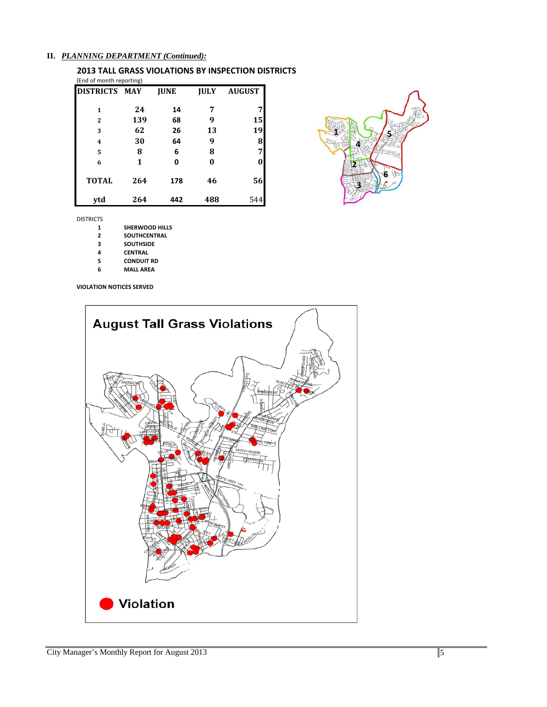#### **II.** *PLANNING DEPARTMENT (Continued):*

#### **2013 TALL GRASS VIOLATIONS BY INSPECTION DISTRICTS** (End of month reporting)

| <b>DISTRICTS MAY</b> |     | <b>JUNE</b> | <b>JULY</b> | <b>AUGUST</b> |
|----------------------|-----|-------------|-------------|---------------|
| 1                    | 24  | 14          | 7           |               |
| $\overline{2}$       | 139 | 68          | 9           | 15            |
| 3                    | 62  | 26          | 13          | 19            |
| 4                    | 30  | 64          | 9           | 8             |
| 5                    | 8   | 6           | 8           | 7             |
| 6                    | 1   | 0           | 0           | 0             |
| <b>TOTAL</b>         | 264 | 178         | 46          | 56            |
| ytd                  | 264 | 442         | 488         | 544           |



- **1 SHERWOOD HILLS**<br>**2 SOUTHCENTRAL**
- **SOUTHCENTRAL**
- **SOUTHSIDE**
- **CENTRAL**
- **CONDUIT RD**
- **MALL AREA**

**VIOLATION NOTICES SERVED**



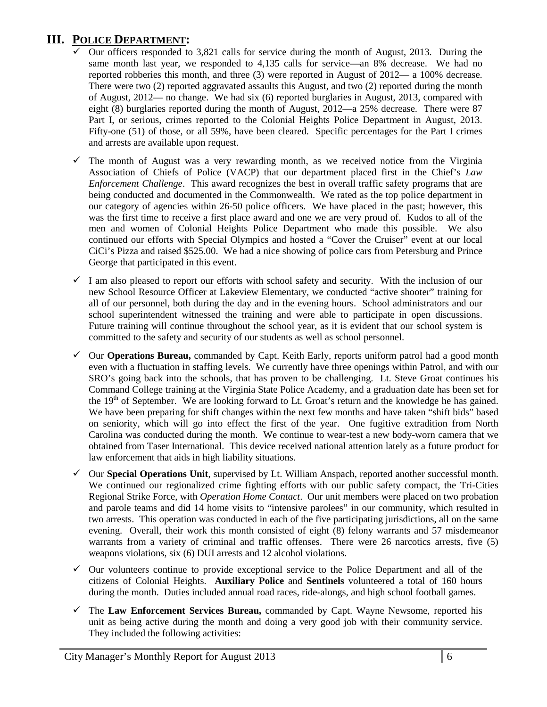# **III. POLICE DEPARTMENT:**

- Our officers responded to 3,821 calls for service during the month of August, 2013. During the same month last year, we responded to 4,135 calls for service—an 8% decrease. We had no reported robberies this month, and three (3) were reported in August of 2012— a 100% decrease. There were two (2) reported aggravated assaults this August, and two (2) reported during the month of August, 2012— no change. We had six (6) reported burglaries in August, 2013, compared with eight (8) burglaries reported during the month of August, 2012—a 25% decrease. There were 87 Part I, or serious, crimes reported to the Colonial Heights Police Department in August, 2013. Fifty-one (51) of those, or all 59%, have been cleared. Specific percentages for the Part I crimes and arrests are available upon request.
- $\checkmark$  The month of August was a very rewarding month, as we received notice from the Virginia Association of Chiefs of Police (VACP) that our department placed first in the Chief's *Law Enforcement Challenge*. This award recognizes the best in overall traffic safety programs that are being conducted and documented in the Commonwealth. We rated as the top police department in our category of agencies within 26-50 police officers. We have placed in the past; however, this was the first time to receive a first place award and one we are very proud of. Kudos to all of the men and women of Colonial Heights Police Department who made this possible. We also continued our efforts with Special Olympics and hosted a "Cover the Cruiser" event at our local CiCi's Pizza and raised \$525.00. We had a nice showing of police cars from Petersburg and Prince George that participated in this event.
- $\checkmark$  I am also pleased to report our efforts with school safety and security. With the inclusion of our new School Resource Officer at Lakeview Elementary, we conducted "active shooter" training for all of our personnel, both during the day and in the evening hours. School administrators and our school superintendent witnessed the training and were able to participate in open discussions. Future training will continue throughout the school year, as it is evident that our school system is committed to the safety and security of our students as well as school personnel.
- Our **Operations Bureau,** commanded by Capt. Keith Early, reports uniform patrol had a good month even with a fluctuation in staffing levels. We currently have three openings within Patrol, and with our SRO's going back into the schools, that has proven to be challenging. Lt. Steve Groat continues his Command College training at the Virginia State Police Academy, and a graduation date has been set for the 19<sup>th</sup> of September. We are looking forward to Lt. Groat's return and the knowledge he has gained. We have been preparing for shift changes within the next few months and have taken "shift bids" based on seniority, which will go into effect the first of the year. One fugitive extradition from North Carolina was conducted during the month. We continue to wear-test a new body-worn camera that we obtained from Taser International. This device received national attention lately as a future product for law enforcement that aids in high liability situations.
- Our **Special Operations Unit**, supervised by Lt. William Anspach, reported another successful month. We continued our regionalized crime fighting efforts with our public safety compact, the Tri-Cities Regional Strike Force, with *Operation Home Contact*. Our unit members were placed on two probation and parole teams and did 14 home visits to "intensive parolees" in our community, which resulted in two arrests. This operation was conducted in each of the five participating jurisdictions, all on the same evening. Overall, their work this month consisted of eight (8) felony warrants and 57 misdemeanor warrants from a variety of criminal and traffic offenses. There were 26 narcotics arrests, five (5) weapons violations, six (6) DUI arrests and 12 alcohol violations.
- $\checkmark$  Our volunteers continue to provide exceptional service to the Police Department and all of the citizens of Colonial Heights. **Auxiliary Police** and **Sentinels** volunteered a total of 160 hours during the month. Duties included annual road races, ride-alongs, and high school football games.
- The **Law Enforcement Services Bureau,** commanded by Capt. Wayne Newsome, reported his unit as being active during the month and doing a very good job with their community service. They included the following activities: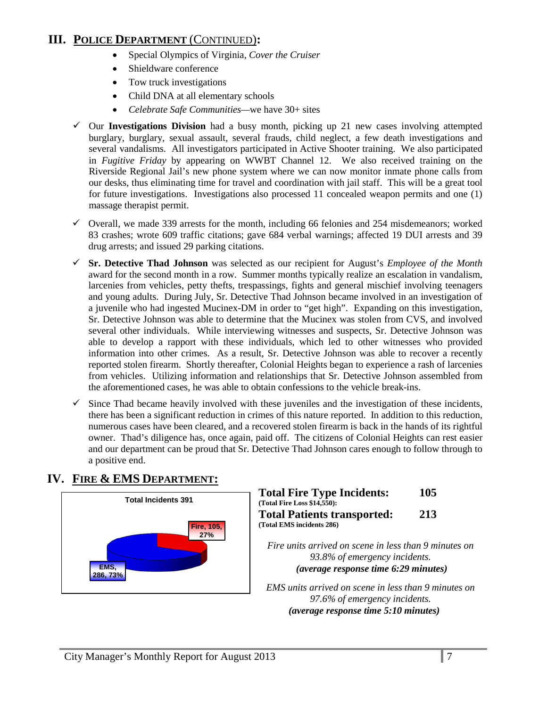# **III. POLICE DEPARTMENT** (CONTINUED)**:**

- Special Olympics of Virginia, *Cover the Cruiser*
- Shieldware conference
- Tow truck investigations
- Child DNA at all elementary schools
- *Celebrate Safe Communities—*we have 30+ sites
- Our **Investigations Division** had a busy month, picking up 21 new cases involving attempted burglary, burglary, sexual assault, several frauds, child neglect, a few death investigations and several vandalisms. All investigators participated in Active Shooter training. We also participated in *Fugitive Friday* by appearing on WWBT Channel 12. We also received training on the Riverside Regional Jail's new phone system where we can now monitor inmate phone calls from our desks, thus eliminating time for travel and coordination with jail staff. This will be a great tool for future investigations. Investigations also processed 11 concealed weapon permits and one (1) massage therapist permit.
- $\checkmark$  Overall, we made 339 arrests for the month, including 66 felonies and 254 misdemeanors; worked 83 crashes; wrote 609 traffic citations; gave 684 verbal warnings; affected 19 DUI arrests and 39 drug arrests; and issued 29 parking citations.
- **Sr. Detective Thad Johnson** was selected as our recipient for August's *Employee of the Month* award for the second month in a row. Summer months typically realize an escalation in vandalism, larcenies from vehicles, petty thefts, trespassings, fights and general mischief involving teenagers and young adults. During July, Sr. Detective Thad Johnson became involved in an investigation of a juvenile who had ingested Mucinex-DM in order to "get high". Expanding on this investigation, Sr. Detective Johnson was able to determine that the Mucinex was stolen from CVS, and involved several other individuals. While interviewing witnesses and suspects, Sr. Detective Johnson was able to develop a rapport with these individuals, which led to other witnesses who provided information into other crimes. As a result, Sr. Detective Johnson was able to recover a recently reported stolen firearm. Shortly thereafter, Colonial Heights began to experience a rash of larcenies from vehicles. Utilizing information and relationships that Sr. Detective Johnson assembled from the aforementioned cases, he was able to obtain confessions to the vehicle break-ins.
- $\checkmark$  Since Thad became heavily involved with these juveniles and the investigation of these incidents, there has been a significant reduction in crimes of this nature reported. In addition to this reduction, numerous cases have been cleared, and a recovered stolen firearm is back in the hands of its rightful owner. Thad's diligence has, once again, paid off. The citizens of Colonial Heights can rest easier and our department can be proud that Sr. Detective Thad Johnson cares enough to follow through to a positive end.

# **IV. FIRE & EMS DEPARTMENT:**



| <b>Total Fire Type Incidents:</b>  | 105 |
|------------------------------------|-----|
| (Total Fire Loss \$14,550):        |     |
| <b>Total Patients transported:</b> | 213 |
| (Total EMS incidents 286)          |     |
|                                    |     |

*Fire units arrived on scene in less than 9 minutes on 93.8% of emergency incidents. (average response time 6:29 minutes)*

*EMS units arrived on scene in less than 9 minutes on 97.6% of emergency incidents. U(average response time 5:10 minutes)*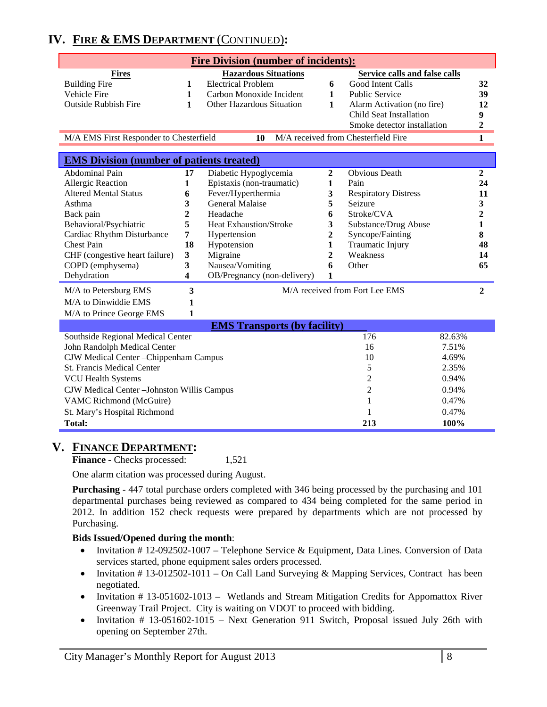# **IV. FIRE & EMS DEPARTMENT** (CONTINUED)**:**

| <b>Fire Division (number of incidents):</b>                                                          |                         |                                     |                |                                      |                         |
|------------------------------------------------------------------------------------------------------|-------------------------|-------------------------------------|----------------|--------------------------------------|-------------------------|
| <b>Fires</b>                                                                                         |                         | <b>Hazardous Situations</b>         |                | <b>Service calls and false calls</b> |                         |
| <b>Building Fire</b>                                                                                 | 1                       | <b>Electrical Problem</b>           | 6              | Good Intent Calls                    | 32                      |
| Vehicle Fire                                                                                         | 1                       | Carbon Monoxide Incident            | $\mathbf{1}$   | <b>Public Service</b>                | 39                      |
| <b>Outside Rubbish Fire</b>                                                                          | 1                       | Other Hazardous Situation           | 1              | Alarm Activation (no fire)           | 12                      |
|                                                                                                      |                         |                                     |                | Child Seat Installation              | 9                       |
|                                                                                                      |                         |                                     |                | Smoke detector installation          | $\mathbf{2}$            |
| M/A received from Chesterfield Fire<br>$\mathbf{1}$<br>M/A EMS First Responder to Chesterfield<br>10 |                         |                                     |                |                                      |                         |
|                                                                                                      |                         |                                     |                |                                      |                         |
| <b>EMS Division (number of patients treated)</b>                                                     |                         |                                     |                |                                      |                         |
| <b>Abdominal Pain</b>                                                                                | 17                      | Diabetic Hypoglycemia               | $\overline{2}$ | <b>Obvious Death</b>                 | $\boldsymbol{2}$        |
| Allergic Reaction                                                                                    | 1                       | Epistaxis (non-traumatic)           | $\mathbf{1}$   | Pain                                 | 24                      |
| <b>Altered Mental Status</b>                                                                         | 6                       | Fever/Hyperthermia                  | 3              | <b>Respiratory Distress</b>          | 11                      |
| Asthma                                                                                               | 3                       | <b>General Malaise</b>              | 5              | Seizure                              | 3                       |
| Back pain                                                                                            | 2                       | Headache                            | 6              | Stroke/CVA                           | $\overline{\mathbf{2}}$ |
| Behavioral/Psychiatric                                                                               | 5                       | <b>Heat Exhaustion/Stroke</b>       | 3              | Substance/Drug Abuse                 | 1                       |
| Cardiac Rhythm Disturbance                                                                           | 7                       | Hypertension                        | 2              | Syncope/Fainting                     | 8                       |
| <b>Chest Pain</b>                                                                                    | 18                      | Hypotension                         | 1              | Traumatic Injury                     | 48                      |
| CHF (congestive heart failure)                                                                       | $\overline{\mathbf{3}}$ | Migraine                            | 2              | Weakness                             | 14                      |
| COPD (emphysema)                                                                                     | 3                       | Nausea/Vomiting                     | 6              | Other                                | 65                      |
| Dehydration                                                                                          | 4                       | OB/Pregnancy (non-delivery)         | $\mathbf{1}$   |                                      |                         |
| M/A to Petersburg EMS                                                                                | 3                       |                                     |                | M/A received from Fort Lee EMS       | $\overline{2}$          |
| M/A to Dinwiddie EMS                                                                                 | 1                       |                                     |                |                                      |                         |
| M/A to Prince George EMS                                                                             | 1                       |                                     |                |                                      |                         |
|                                                                                                      |                         | <b>EMS Transports (by facility)</b> |                |                                      |                         |
| Southside Regional Medical Center                                                                    |                         |                                     |                | 176<br>82.63%                        |                         |
| John Randolph Medical Center                                                                         |                         |                                     |                | 7.51%<br>16                          |                         |
| CJW Medical Center - Chippenham Campus                                                               |                         |                                     |                | 4.69%<br>10                          |                         |
| <b>St. Francis Medical Center</b>                                                                    |                         |                                     | 5<br>2.35%     |                                      |                         |
| <b>VCU Health Systems</b>                                                                            |                         |                                     |                | 2<br>0.94%                           |                         |
| CJW Medical Center-Johnston Willis Campus                                                            |                         |                                     |                | 2<br>0.94%                           |                         |
|                                                                                                      |                         |                                     |                |                                      |                         |
| VAMC Richmond (McGuire)                                                                              |                         |                                     |                | 0.47%<br>1                           |                         |
| St. Mary's Hospital Richmond                                                                         |                         |                                     |                | 0.47%                                |                         |
| <b>Total:</b>                                                                                        |                         |                                     |                | 213<br>100%                          |                         |

# **V. FINANCE DEPARTMENT:**

**Finance -** Checks processed: 1,521

One alarm citation was processed during August.

**Purchasing** - 447 total purchase orders completed with 346 being processed by the purchasing and 101 departmental purchases being reviewed as compared to 434 being completed for the same period in 2012. In addition 152 check requests were prepared by departments which are not processed by Purchasing.

#### **Bids Issued/Opened during the month**:

- Invitation # 12-092502-1007 Telephone Service & Equipment, Data Lines. Conversion of Data services started, phone equipment sales orders processed.
- Invitation #13-012502-1011 On Call Land Surveying & Mapping Services, Contract has been negotiated.
- Invitation # 13-051602-1013 Wetlands and Stream Mitigation Credits for Appomattox River Greenway Trail Project. City is waiting on VDOT to proceed with bidding.
- Invitation # 13-051602-1015 Next Generation 911 Switch, Proposal issued July 26th with opening on September 27th.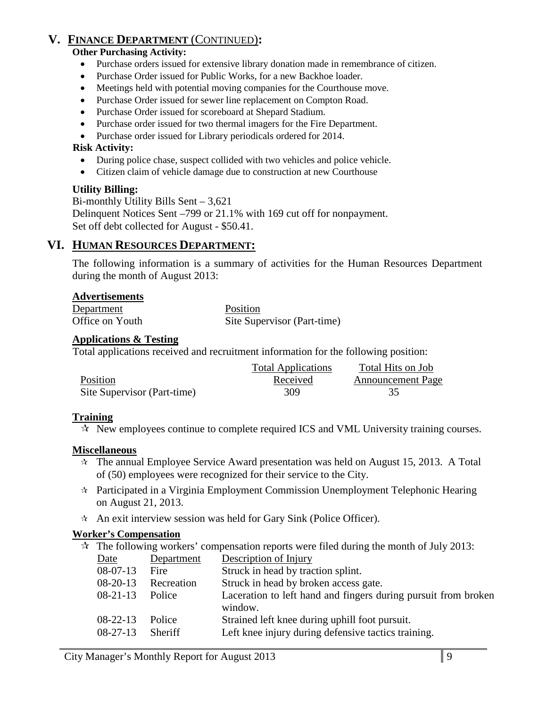# **V. FINANCE DEPARTMENT** (CONTINUED)**:**

#### **Other Purchasing Activity:**

- Purchase orders issued for extensive library donation made in remembrance of citizen.
- Purchase Order issued for Public Works, for a new Backhoe loader.
- Meetings held with potential moving companies for the Courthouse move.
- Purchase Order issued for sewer line replacement on Compton Road.
- Purchase Order issued for scoreboard at Shepard Stadium.
- Purchase order issued for two thermal imagers for the Fire Department.
- Purchase order issued for Library periodicals ordered for 2014.

#### **Risk Activity:**

- During police chase, suspect collided with two vehicles and police vehicle.
- Citizen claim of vehicle damage due to construction at new Courthouse

# **Utility Billing:**

Bi-monthly Utility Bills Sent – 3,621 Delinquent Notices Sent –799 or 21.1% with 169 cut off for nonpayment. Set off debt collected for August - \$50.41.

# **VI. HUMAN RESOURCES DEPARTMENT:**

The following information is a summary of activities for the Human Resources Department during the month of August 2013:

# **Advertisements**

| Department      | Position                    |
|-----------------|-----------------------------|
| Office on Youth | Site Supervisor (Part-time) |

#### **Applications & Testing**

Total applications received and recruitment information for the following position:

|                             | <b>Total Applications</b> | Total Hits on Job        |
|-----------------------------|---------------------------|--------------------------|
| Position                    | Received                  | <b>Announcement Page</b> |
| Site Supervisor (Part-time) | 309.                      |                          |

# **Training**

 $\mathcal{R}$  New employees continue to complete required ICS and VML University training courses.

# **Miscellaneous**

- $\hat{\tau}$  The annual Employee Service Award presentation was held on August 15, 2013. A Total of (50) employees were recognized for their service to the City.
- Participated in a Virginia Employment Commission Unemployment Telephonic Hearing on August 21, 2013.
- $\star$  An exit interview session was held for Gary Sink (Police Officer).

# **Worker's Compensation**

- $\approx$  The following workers' compensation reports were filed during the month of July 2013:
	- Date Department Description of Injury 08-07-13 Fire Struck in head by traction splint. 08-20-13 Recreation Struck in head by broken access gate. 08-21-13 Police Laceration to left hand and fingers during pursuit from broken window. 08-22-13 Police Strained left knee during uphill foot pursuit. 08-27-13 Sheriff Left knee injury during defensive tactics training.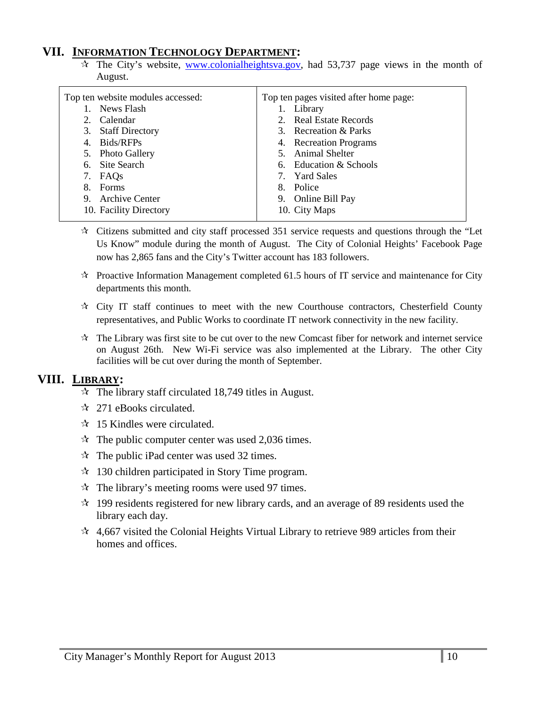# **VII. INFORMATION TECHNOLOGY DEPARTMENT:**

 $\hat{\tau}$  The City's website, [www.colonialheightsva.gov,](http://www.colonialheightsva.gov/) had 53,737 page views in the month of August.

| Top ten website modules accessed: | Top ten pages visited after home page: |
|-----------------------------------|----------------------------------------|
| News Flash                        | 1. Library                             |
| Calendar<br>2.                    | 2. Real Estate Records                 |
| 3. Staff Directory                | 3. Recreation & Parks                  |
| 4. Bids/RFPs                      | 4. Recreation Programs                 |
| 5. Photo Gallery                  | 5. Animal Shelter                      |
| 6. Site Search                    | 6. Education & Schools                 |
| 7. FAQs                           | 7. Yard Sales                          |
| Forms<br>8.                       | Police<br>8.                           |
| 9. Archive Center                 | 9. Online Bill Pay                     |
| 10. Facility Directory            | 10. City Maps                          |
|                                   |                                        |

- $\star$  Citizens submitted and city staff processed 351 service requests and questions through the "Let Us Know" module during the month of August. The City of Colonial Heights' Facebook Page now has 2,865 fans and the City's Twitter account has 183 followers.
- $\star$  Proactive Information Management completed 61.5 hours of IT service and maintenance for City departments this month.
- $\mathcal{R}$  City IT staff continues to meet with the new Courthouse contractors, Chesterfield County representatives, and Public Works to coordinate IT network connectivity in the new facility.
- $\mathbf{\hat{x}}$  The Library was first site to be cut over to the new Comcast fiber for network and internet service on August 26th. New Wi-Fi service was also implemented at the Library. The other City facilities will be cut over during the month of September.

# **VIII. LIBRARY:**

- $\approx$  The library staff circulated 18,749 titles in August.
- $\approx$  271 eBooks circulated.
- $\approx$  15 Kindles were circulated.
- $\approx$  The public computer center was used 2,036 times.
- $\mathcal{R}$  The public iPad center was used 32 times.
- $\approx$  130 children participated in Story Time program.
- $\mathcal{R}$  The library's meeting rooms were used 97 times.
- $\approx$  199 residents registered for new library cards, and an average of 89 residents used the library each day.
- $\approx$  4,667 visited the Colonial Heights Virtual Library to retrieve 989 articles from their homes and offices.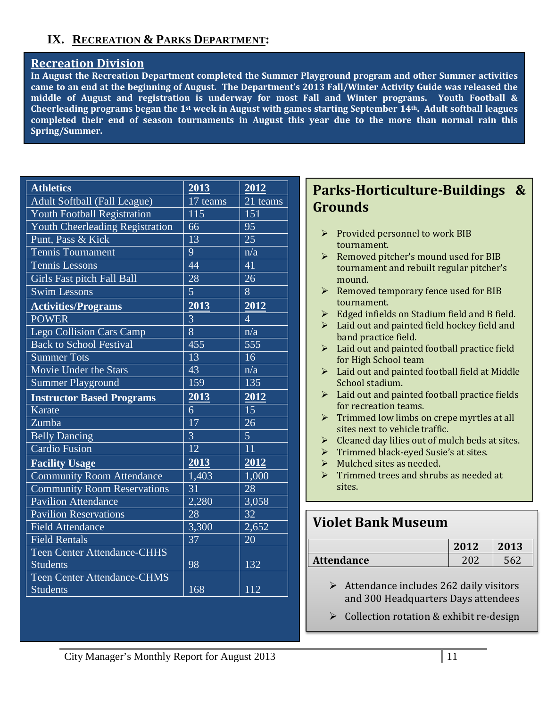# **IX. RECREATION & PARKS DEPARTMENT:**

# **Recreation Division**

**In August the Recreation Department completed the Summer Playground program and other Summer activities came to an end at the beginning of August. The Department's 2013 Fall/Winter Activity Guide was released the middle of August and registration is underway for most Fall and Winter programs. Youth Football & Cheerleading programs began the 1st week in August with games starting September 14th. Adult softball leagues completed their end of season tournaments in August this year due to the more than normal rain this Spring/Summer.**

| <b>Athletics</b>                    | 2013            | 2012              |
|-------------------------------------|-----------------|-------------------|
| <b>Adult Softball (Fall League)</b> | 17 teams        | 21 teams          |
| <b>Youth Football Registration</b>  | 115             | 151               |
| Youth Cheerleading Registration     | 66              | 95                |
| Punt, Pass & Kick                   | 13              | 25                |
| <b>Tennis Tournament</b>            | 9               | n/a               |
| <b>Tennis Lessons</b>               | 44              | 41                |
| Girls Fast pitch Fall Ball          | 28              | 26                |
| <b>Swim Lessons</b>                 | 5               | 8                 |
| <b>Activities/Programs</b>          | 2013            | 2012              |
| <b>POWER</b>                        | 3               | $\overline{4}$    |
| <b>Lego Collision Cars Camp</b>     | 8               | $\overline{n/a}$  |
| <b>Back to School Festival</b>      | 455             | 555               |
| <b>Summer Tots</b>                  | $\overline{13}$ | 16                |
| Movie Under the Stars               | 43              | n/a               |
| <b>Summer Playground</b>            | 159             | 135               |
| <b>Instructor Based Programs</b>    | 2013            | $\overline{2012}$ |
| Karate                              | 6               | 15                |
| Zumba                               | $\overline{17}$ | 26                |
| <b>Belly Dancing</b>                | $\overline{3}$  | $\overline{5}$    |
| <b>Cardio Fusion</b>                | 12              | 11                |
| <b>Facility Usage</b>               | 2013            | 2012              |
| <b>Community Room Attendance</b>    | 1,403           | 1,000             |
| <b>Community Room Reservations</b>  | 31              | 28                |
| <b>Pavilion Attendance</b>          | 2,280           | 3,058             |
| <b>Pavilion Reservations</b>        | 28              | 32                |
| <b>Field Attendance</b>             | 3,300           | 2,652             |
| <b>Field Rentals</b>                | 37              | 20                |
| <b>Teen Center Attendance-CHHS</b>  |                 |                   |
| <b>Students</b>                     | 98              | 132               |
| <b>Teen Center Attendance-CHMS</b>  |                 |                   |
| <b>Students</b>                     | 168             | 112               |

# **Parks-Horticulture-Buildings & Grounds**

- $\triangleright$  Provided personnel to work BIB tournament.
- $\triangleright$  Removed pitcher's mound used for BIB tournament and rebuilt regular pitcher's mound.
- $\triangleright$  Removed temporary fence used for BIB tournament.
- $\triangleright$  Edged infields on Stadium field and B field.
- $\blacktriangleright$  Laid out and painted field hockey field and band practice field.
- > Laid out and painted football practice field for High School team
- Laid out and painted football field at Middle School stadium.
- > Laid out and painted football practice fields for recreation teams.
- $\triangleright$  Trimmed low limbs on crepe myrtles at all sites next to vehicle traffic.
- $\triangleright$  Cleaned day lilies out of mulch beds at sites.
- Trimmed black-eyed Susie's at sites.
- $\triangleright$  Mulched sites as needed.
- $\triangleright$  Trimmed trees and shrubs as needed at sites.

# **Violet Bank Museum**

|                   | 2012 | 2013 |
|-------------------|------|------|
| <b>Attendance</b> |      |      |

- $\triangleright$  Attendance includes 262 daily visitors and 300 Headquarters Days attendees
- $\triangleright$  Collection rotation & exhibit re-design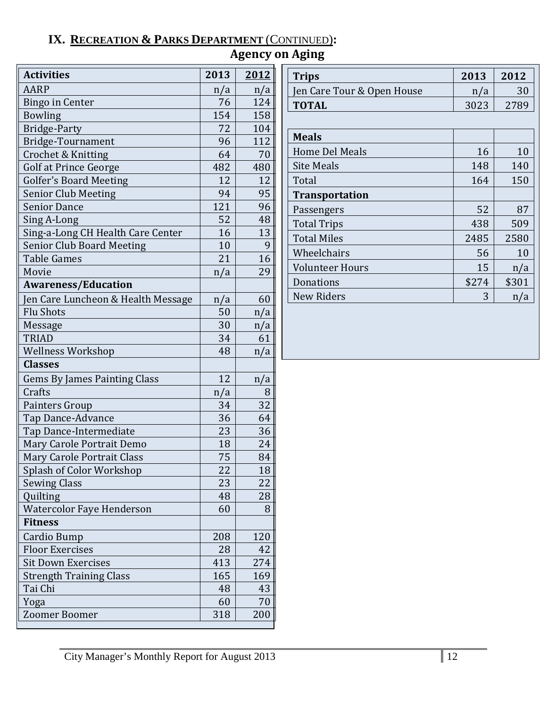# **IX. RECREATION & PARKS DEPARTMENT** (CONTINUED)**:**

| <b>Agency on Aging</b> |  |  |
|------------------------|--|--|
|------------------------|--|--|

| <b>Activities</b>                   | 2013 | 2012 |
|-------------------------------------|------|------|
| <b>AARP</b>                         | n/a  | n/a  |
| <b>Bingo in Center</b>              | 76   | 124  |
| <b>Bowling</b>                      | 154  | 158  |
| <b>Bridge-Party</b>                 | 72   | 104  |
| Bridge-Tournament                   | 96   | 112  |
| Crochet & Knitting                  | 64   | 70   |
| <b>Golf at Prince George</b>        | 482  | 480  |
| <b>Golfer's Board Meeting</b>       | 12   | 12   |
| <b>Senior Club Meeting</b>          | 94   | 95   |
| <b>Senior Dance</b>                 | 121  | 96   |
| Sing A-Long                         | 52   | 48   |
| Sing-a-Long CH Health Care Center   | 16   | 13   |
| <b>Senior Club Board Meeting</b>    | 10   | 9    |
| <b>Table Games</b>                  | 21   | 16   |
| Movie                               | n/a  | 29   |
| <b>Awareness/Education</b>          |      |      |
| Jen Care Luncheon & Health Message  | n/a  | 60   |
| <b>Flu Shots</b>                    | 50   | n/a  |
| Message                             | 30   | n/a  |
| <b>TRIAD</b>                        | 34   | 61   |
| <b>Wellness Workshop</b>            | 48   | n/a  |
| <b>Classes</b>                      |      |      |
| <b>Gems By James Painting Class</b> | 12   | n/a  |
| Crafts                              | n/a  | 8    |
| Painters Group                      | 34   | 32   |
| Tap Dance-Advance                   | 36   | 64   |
| Tap Dance-Intermediate              | 23   | 36   |
| Mary Carole Portrait Demo           | 18   | 24   |
| Mary Carole Portrait Class          | 75   | 84   |
| Splash of Color Workshop            | 22   | 18   |
| <b>Sewing Class</b>                 | 23   | 22   |
| Quilting                            | 48   | 28   |
| Watercolor Faye Henderson           | 60   | 8    |
| <b>Fitness</b>                      |      |      |
| <b>Cardio Bump</b>                  | 208  | 120  |
| <b>Floor Exercises</b>              | 28   | 42   |
| <b>Sit Down Exercises</b>           | 413  | 274  |
| <b>Strength Training Class</b>      | 165  | 169  |
| Tai Chi                             | 48   | 43   |
| Yoga                                | 60   | 70   |
| Zoomer Boomer                       | 318  | 200  |

| Trips                      | 2013 | 2012 |
|----------------------------|------|------|
| Jen Care Tour & Open House | n/a  |      |
| <b>TOTAL</b>               | 3023 | 2789 |

| <b>Meals</b>           |       |       |
|------------------------|-------|-------|
| <b>Home Del Meals</b>  | 16    | 10    |
| <b>Site Meals</b>      | 148   | 140   |
| Total                  | 164   | 150   |
| <b>Transportation</b>  |       |       |
| Passengers             | 52    | 87    |
| <b>Total Trips</b>     | 438   | 509   |
| <b>Total Miles</b>     | 2485  | 2580  |
| Wheelchairs            | 56    | 10    |
| <b>Volunteer Hours</b> | 15    | n/a   |
| Donations              | \$274 | \$301 |
| <b>New Riders</b>      | 3     |       |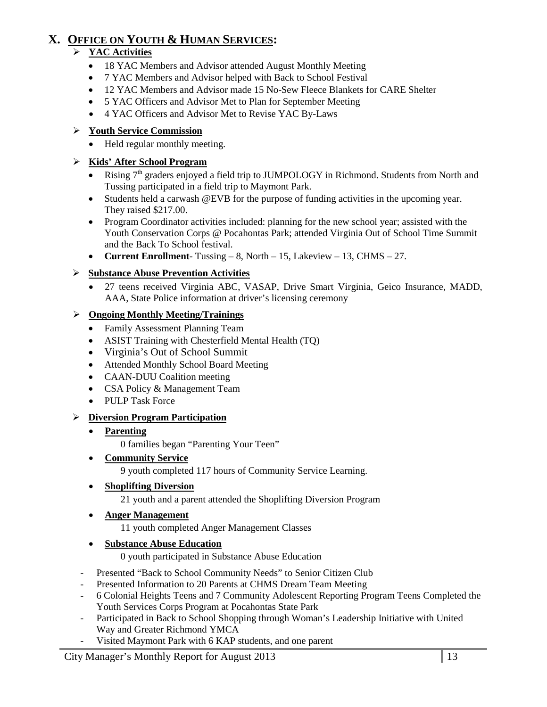# **X. OFFICE ON YOUTH & HUMAN SERVICES:**

# **YAC Activities**

- 18 YAC Members and Advisor attended August Monthly Meeting
- 7 YAC Members and Advisor helped with Back to School Festival
- 12 YAC Members and Advisor made 15 No-Sew Fleece Blankets for CARE Shelter
- 5 YAC Officers and Advisor Met to Plan for September Meeting
- 4 YAC Officers and Advisor Met to Revise YAC By-Laws

# **Youth Service Commission**

• Held regular monthly meeting.

# **Kids' After School Program**

- Rising  $7<sup>th</sup>$  graders enjoyed a field trip to JUMPOLOGY in Richmond. Students from North and Tussing participated in a field trip to Maymont Park.
- Students held a carwash @EVB for the purpose of funding activities in the upcoming year. They raised \$217.00.
- Program Coordinator activities included: planning for the new school year; assisted with the Youth Conservation Corps @ Pocahontas Park; attended Virginia Out of School Time Summit and the Back To School festival.
- **Current Enrollment** Tussing 8, North 15, Lakeview 13, CHMS 27.

# **Substance Abuse Prevention Activities**

• 27 teens received Virginia ABC, VASAP, Drive Smart Virginia, Geico Insurance, MADD, AAA, State Police information at driver's licensing ceremony

# **Ongoing Monthly Meeting/Trainings**

- Family Assessment Planning Team
- ASIST Training with Chesterfield Mental Health (TO)
- Virginia's Out of School Summit
- Attended Monthly School Board Meeting
- CAAN-DUU Coalition meeting
- CSA Policy & Management Team
- PULP Task Force

# **Diversion Program Participation**

- **Parenting**
	- 0 families began "Parenting Your Teen"
- **Community Service**
	- 9 youth completed 117 hours of Community Service Learning.

# • **Shoplifting Diversion**

21 youth and a parent attended the Shoplifting Diversion Program

# • **Anger Management**

11 youth completed Anger Management Classes

# • **Substance Abuse Education**

0 youth participated in Substance Abuse Education

- Presented "Back to School Community Needs" to Senior Citizen Club
- Presented Information to 20 Parents at CHMS Dream Team Meeting
- 6 Colonial Heights Teens and 7 Community Adolescent Reporting Program Teens Completed the Youth Services Corps Program at Pocahontas State Park
- Participated in Back to School Shopping through Woman's Leadership Initiative with United Way and Greater Richmond YMCA
- Visited Maymont Park with 6 KAP students, and one parent